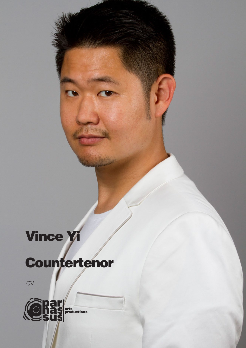## Vince Yi

## Countertenor

 $\overline{\text{CV}}$